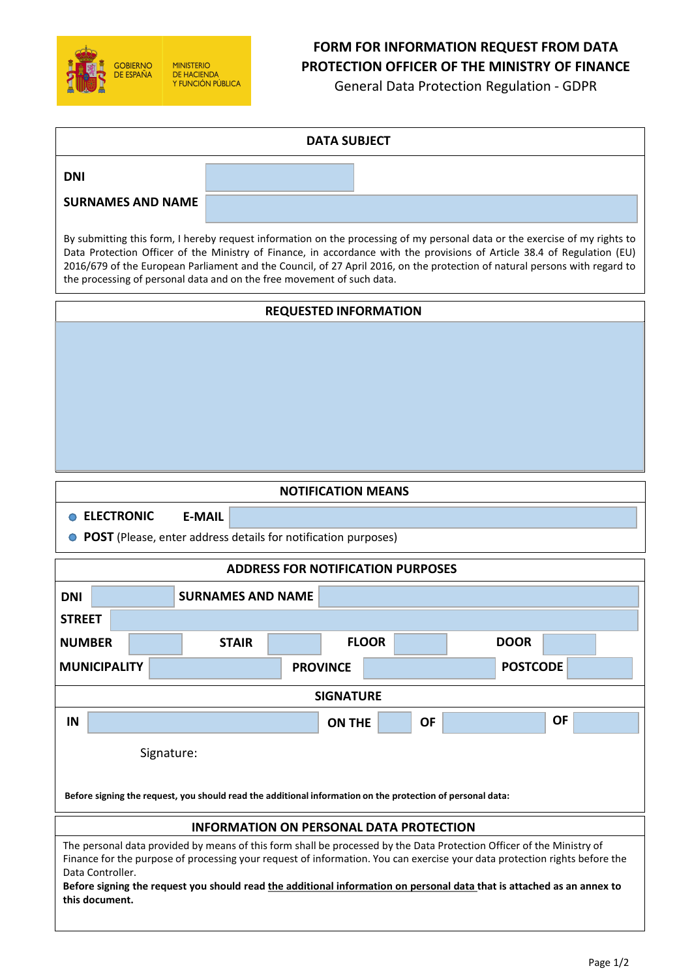

# **FORM FOR INFORMATION REQUEST FROM DATA PROTECTION OFFICER OF THE MINISTRY OF FINANCE**

General Data Protection Regulation - GDPR

| <b>DATA SUBJECT</b>                                                                                                                                                                                                                                                                                                                                                                                                                                             |              |                  |           |             |           |
|-----------------------------------------------------------------------------------------------------------------------------------------------------------------------------------------------------------------------------------------------------------------------------------------------------------------------------------------------------------------------------------------------------------------------------------------------------------------|--------------|------------------|-----------|-------------|-----------|
| <b>DNI</b>                                                                                                                                                                                                                                                                                                                                                                                                                                                      |              |                  |           |             |           |
| <b>SURNAMES AND NAME</b>                                                                                                                                                                                                                                                                                                                                                                                                                                        |              |                  |           |             |           |
| By submitting this form, I hereby request information on the processing of my personal data or the exercise of my rights to<br>Data Protection Officer of the Ministry of Finance, in accordance with the provisions of Article 38.4 of Regulation (EU)<br>2016/679 of the European Parliament and the Council, of 27 April 2016, on the protection of natural persons with regard to<br>the processing of personal data and on the free movement of such data. |              |                  |           |             |           |
| <b>REQUESTED INFORMATION</b>                                                                                                                                                                                                                                                                                                                                                                                                                                    |              |                  |           |             |           |
|                                                                                                                                                                                                                                                                                                                                                                                                                                                                 |              |                  |           |             |           |
| <b>NOTIFICATION MEANS</b>                                                                                                                                                                                                                                                                                                                                                                                                                                       |              |                  |           |             |           |
| <b>ELECTRONIC</b><br><b>E-MAIL</b><br>• POST (Please, enter address details for notification purposes)                                                                                                                                                                                                                                                                                                                                                          |              |                  |           |             |           |
| <b>ADDRESS FOR NOTIFICATION PURPOSES</b>                                                                                                                                                                                                                                                                                                                                                                                                                        |              |                  |           |             |           |
| <b>DNI</b><br><b>SURNAMES AND NAME</b>                                                                                                                                                                                                                                                                                                                                                                                                                          |              |                  |           |             |           |
| <b>STREET</b>                                                                                                                                                                                                                                                                                                                                                                                                                                                   |              |                  |           |             |           |
| <b>NUMBER</b>                                                                                                                                                                                                                                                                                                                                                                                                                                                   | <b>STAIR</b> | <b>FLOOR</b>     |           | <b>DOOR</b> |           |
| <b>MUNICIPALITY</b><br><b>PROVINCE</b><br><b>POSTCODE</b>                                                                                                                                                                                                                                                                                                                                                                                                       |              |                  |           |             |           |
|                                                                                                                                                                                                                                                                                                                                                                                                                                                                 |              | <b>SIGNATURE</b> |           |             |           |
| IN                                                                                                                                                                                                                                                                                                                                                                                                                                                              |              | <b>ON THE</b>    | <b>OF</b> |             | <b>OF</b> |
| Signature:                                                                                                                                                                                                                                                                                                                                                                                                                                                      |              |                  |           |             |           |
| Before signing the request, you should read the additional information on the protection of personal data:                                                                                                                                                                                                                                                                                                                                                      |              |                  |           |             |           |
| <b>INFORMATION ON PERSONAL DATA PROTECTION</b>                                                                                                                                                                                                                                                                                                                                                                                                                  |              |                  |           |             |           |
| The personal data provided by means of this form shall be processed by the Data Protection Officer of the Ministry of<br>Finance for the purpose of processing your request of information. You can exercise your data protection rights before the<br>Data Controller.<br>Before signing the request you should read the additional information on personal data that is attached as an annex to<br>this document.                                             |              |                  |           |             |           |